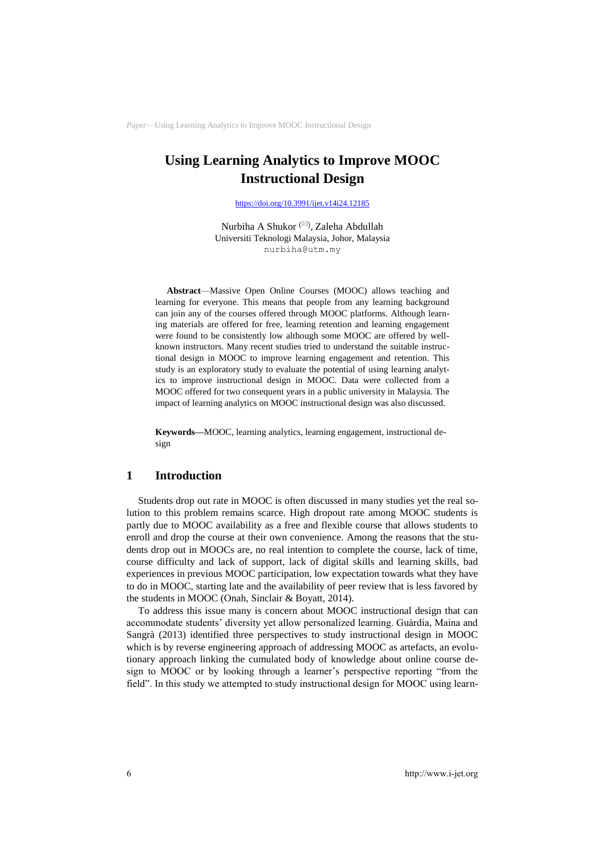# **Using Learning Analytics to Improve MOOC Instructional Design**

<https://doi.org/10.3991/ijet.v14i24.12185>

Nurbiha A Shukor<sup>([23]</sup>, Zaleha Abdullah Universiti Teknologi Malaysia, Johor, Malaysia nurbiha@utm.my

**Abstract**—Massive Open Online Courses (MOOC) allows teaching and learning for everyone. This means that people from any learning background can join any of the courses offered through MOOC platforms. Although learning materials are offered for free, learning retention and learning engagement were found to be consistently low although some MOOC are offered by wellknown instructors. Many recent studies tried to understand the suitable instructional design in MOOC to improve learning engagement and retention. This study is an exploratory study to evaluate the potential of using learning analytics to improve instructional design in MOOC. Data were collected from a MOOC offered for two consequent years in a public university in Malaysia. The impact of learning analytics on MOOC instructional design was also discussed.

**Keywords—**MOOC, learning analytics, learning engagement, instructional design

# **1 Introduction**

Students drop out rate in MOOC is often discussed in many studies yet the real solution to this problem remains scarce. High dropout rate among MOOC students is partly due to MOOC availability as a free and flexible course that allows students to enroll and drop the course at their own convenience. Among the reasons that the students drop out in MOOCs are, no real intention to complete the course, lack of time, course difficulty and lack of support, lack of digital skills and learning skills, bad experiences in previous MOOC participation, low expectation towards what they have to do in MOOC, starting late and the availability of peer review that is less favored by the students in MOOC (Onah, Sinclair & Boyatt, 2014).

To address this issue many is concern about MOOC instructional design that can accommodate students' diversity yet allow personalized learning. Guàrdia, Maina and Sangrà (2013) identified three perspectives to study instructional design in MOOC which is by reverse engineering approach of addressing MOOC as artefacts, an evolutionary approach linking the cumulated body of knowledge about online course design to MOOC or by looking through a learner's perspective reporting "from the field". In this study we attempted to study instructional design for MOOC using learn-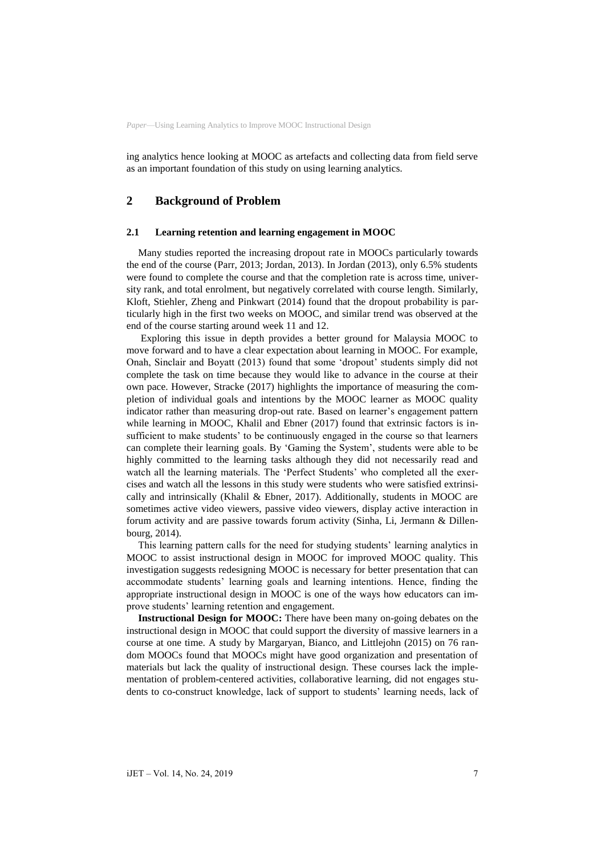ing analytics hence looking at MOOC as artefacts and collecting data from field serve as an important foundation of this study on using learning analytics.

# **2 Background of Problem**

### **2.1 Learning retention and learning engagement in MOOC**

Many studies reported the increasing dropout rate in MOOCs particularly towards the end of the course (Parr, 2013; Jordan, 2013). In Jordan (2013), only 6.5% students were found to complete the course and that the completion rate is across time, university rank, and total enrolment, but negatively correlated with course length. Similarly, Kloft, Stiehler, Zheng and Pinkwart (2014) found that the dropout probability is particularly high in the first two weeks on MOOC, and similar trend was observed at the end of the course starting around week 11 and 12.

 Exploring this issue in depth provides a better ground for Malaysia MOOC to move forward and to have a clear expectation about learning in MOOC. For example, Onah, Sinclair and Boyatt (2013) found that some 'dropout' students simply did not complete the task on time because they would like to advance in the course at their own pace. However, Stracke (2017) highlights the importance of measuring the completion of individual goals and intentions by the MOOC learner as MOOC quality indicator rather than measuring drop-out rate. Based on learner's engagement pattern while learning in MOOC, Khalil and Ebner (2017) found that extrinsic factors is insufficient to make students' to be continuously engaged in the course so that learners can complete their learning goals. By 'Gaming the System', students were able to be highly committed to the learning tasks although they did not necessarily read and watch all the learning materials. The 'Perfect Students' who completed all the exercises and watch all the lessons in this study were students who were satisfied extrinsically and intrinsically (Khalil & Ebner, 2017). Additionally, students in MOOC are sometimes active video viewers, passive video viewers, display active interaction in forum activity and are passive towards forum activity (Sinha, Li, Jermann & Dillenbourg, 2014).

This learning pattern calls for the need for studying students' learning analytics in MOOC to assist instructional design in MOOC for improved MOOC quality. This investigation suggests redesigning MOOC is necessary for better presentation that can accommodate students' learning goals and learning intentions. Hence, finding the appropriate instructional design in MOOC is one of the ways how educators can improve students' learning retention and engagement.

**Instructional Design for MOOC:** There have been many on-going debates on the instructional design in MOOC that could support the diversity of massive learners in a course at one time. A study by Margaryan, Bianco, and Littlejohn (2015) on 76 random MOOCs found that MOOCs might have good organization and presentation of materials but lack the quality of instructional design. These courses lack the implementation of problem-centered activities, collaborative learning, did not engages students to co-construct knowledge, lack of support to students' learning needs, lack of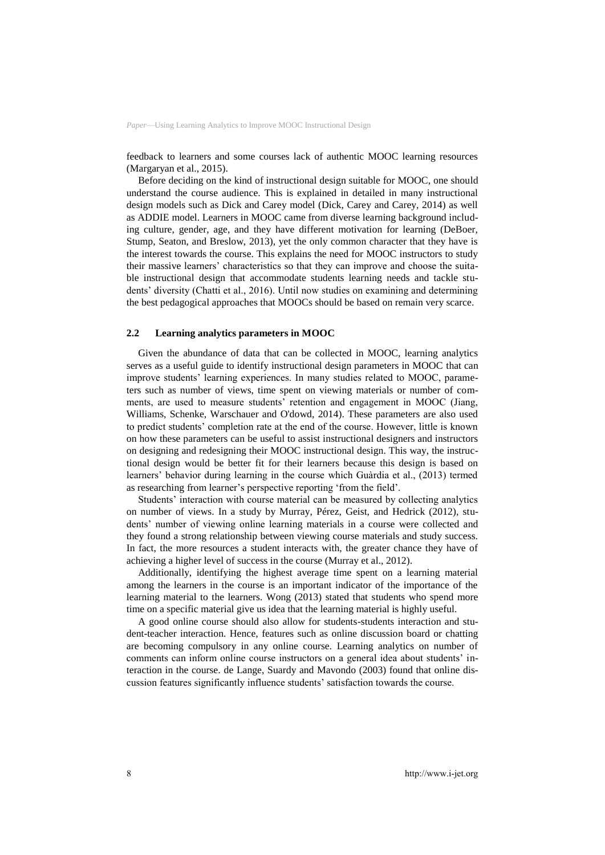feedback to learners and some courses lack of authentic MOOC learning resources (Margaryan et al., 2015).

Before deciding on the kind of instructional design suitable for MOOC, one should understand the course audience. This is explained in detailed in many instructional design models such as Dick and Carey model (Dick, Carey and Carey, 2014) as well as ADDIE model. Learners in MOOC came from diverse learning background including culture, gender, age, and they have different motivation for learning (DeBoer, Stump, Seaton, and Breslow, 2013), yet the only common character that they have is the interest towards the course. This explains the need for MOOC instructors to study their massive learners' characteristics so that they can improve and choose the suitable instructional design that accommodate students learning needs and tackle students' diversity (Chatti et al., 2016). Until now studies on examining and determining the best pedagogical approaches that MOOCs should be based on remain very scarce.

#### **2.2 Learning analytics parameters in MOOC**

Given the abundance of data that can be collected in MOOC, learning analytics serves as a useful guide to identify instructional design parameters in MOOC that can improve students' learning experiences. In many studies related to MOOC, parameters such as number of views, time spent on viewing materials or number of comments, are used to measure students' retention and engagement in MOOC (Jiang, Williams, Schenke, Warschauer and O'dowd, 2014). These parameters are also used to predict students' completion rate at the end of the course. However, little is known on how these parameters can be useful to assist instructional designers and instructors on designing and redesigning their MOOC instructional design. This way, the instructional design would be better fit for their learners because this design is based on learners' behavior during learning in the course which Guàrdia et al., (2013) termed as researching from learner's perspective reporting 'from the field'.

Students' interaction with course material can be measured by collecting analytics on number of views. In a study by Murray, Pérez, Geist, and Hedrick (2012), students' number of viewing online learning materials in a course were collected and they found a strong relationship between viewing course materials and study success. In fact, the more resources a student interacts with, the greater chance they have of achieving a higher level of success in the course (Murray et al., 2012).

Additionally, identifying the highest average time spent on a learning material among the learners in the course is an important indicator of the importance of the learning material to the learners. Wong (2013) stated that students who spend more time on a specific material give us idea that the learning material is highly useful.

A good online course should also allow for students-students interaction and student-teacher interaction. Hence, features such as online discussion board or chatting are becoming compulsory in any online course. Learning analytics on number of comments can inform online course instructors on a general idea about students' interaction in the course. de Lange, Suardy and Mavondo (2003) found that online discussion features significantly influence students' satisfaction towards the course.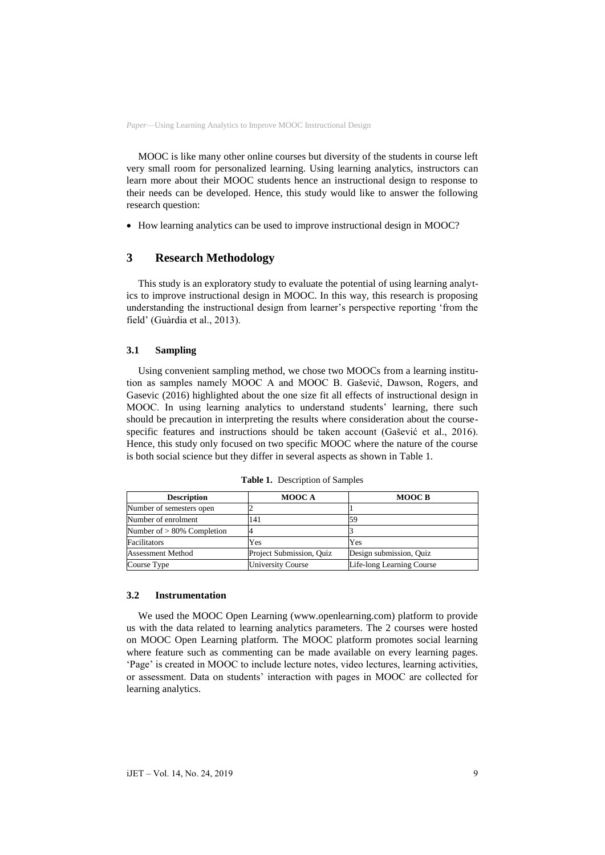MOOC is like many other online courses but diversity of the students in course left very small room for personalized learning. Using learning analytics, instructors can learn more about their MOOC students hence an instructional design to response to their needs can be developed. Hence, this study would like to answer the following research question:

• How learning analytics can be used to improve instructional design in MOOC?

# **3 Research Methodology**

This study is an exploratory study to evaluate the potential of using learning analytics to improve instructional design in MOOC. In this way, this research is proposing understanding the instructional design from learner's perspective reporting 'from the field' (Guàrdia et al., 2013).

### **3.1 Sampling**

Using convenient sampling method, we chose two MOOCs from a learning institution as samples namely MOOC A and MOOC B. Gašević, Dawson, Rogers, and Gasevic (2016) highlighted about the one size fit all effects of instructional design in MOOC. In using learning analytics to understand students' learning, there such should be precaution in interpreting the results where consideration about the coursespecific features and instructions should be taken account (Gašević et al., 2016). Hence, this study only focused on two specific MOOC where the nature of the course is both social science but they differ in several aspects as shown in Table 1.

| <b>Description</b>            | <b>MOOCA</b>             | <b>MOOC B</b>             |  |  |
|-------------------------------|--------------------------|---------------------------|--|--|
| Number of semesters open      |                          |                           |  |  |
| Number of enrolment           | 141                      | 59                        |  |  |
| Number of $> 80\%$ Completion |                          |                           |  |  |
| Facilitators                  | Yes                      | Yes                       |  |  |
| <b>Assessment Method</b>      | Project Submission, Quiz | Design submission, Quiz   |  |  |
| Course Type                   | <b>University Course</b> | Life-long Learning Course |  |  |

**Table 1.** Description of Samples

### **3.2 Instrumentation**

We used the MOOC Open Learning (www.openlearning.com) platform to provide us with the data related to learning analytics parameters. The 2 courses were hosted on MOOC Open Learning platform. The MOOC platform promotes social learning where feature such as commenting can be made available on every learning pages. ‗Page' is created in MOOC to include lecture notes, video lectures, learning activities, or assessment. Data on students' interaction with pages in MOOC are collected for learning analytics.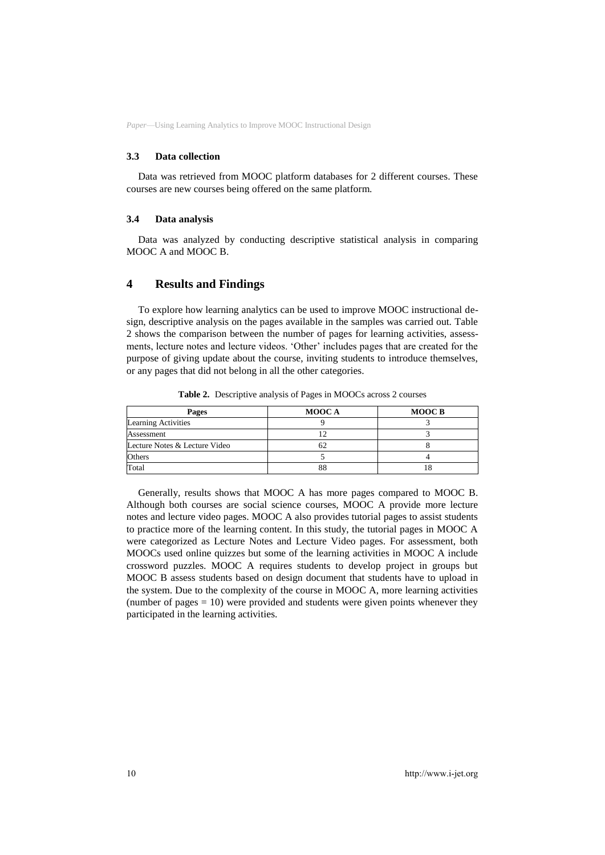#### **3.3 Data collection**

Data was retrieved from MOOC platform databases for 2 different courses. These courses are new courses being offered on the same platform.

#### **3.4 Data analysis**

Data was analyzed by conducting descriptive statistical analysis in comparing MOOC A and MOOC B.

## **4 Results and Findings**

To explore how learning analytics can be used to improve MOOC instructional design, descriptive analysis on the pages available in the samples was carried out. Table 2 shows the comparison between the number of pages for learning activities, assessments, lecture notes and lecture videos. 'Other' includes pages that are created for the purpose of giving update about the course, inviting students to introduce themselves, or any pages that did not belong in all the other categories.

| Pages                         | <b>MOOCA</b> | <b>MOOCB</b> |
|-------------------------------|--------------|--------------|
| <b>Learning Activities</b>    |              |              |
| Assessment                    |              |              |
| Lecture Notes & Lecture Video | ΩZ           |              |
| <b>Others</b>                 |              |              |
| Total                         | 88           |              |

**Table 2.** Descriptive analysis of Pages in MOOCs across 2 courses

Generally, results shows that MOOC A has more pages compared to MOOC B. Although both courses are social science courses, MOOC A provide more lecture notes and lecture video pages. MOOC A also provides tutorial pages to assist students to practice more of the learning content. In this study, the tutorial pages in MOOC A were categorized as Lecture Notes and Lecture Video pages. For assessment, both MOOCs used online quizzes but some of the learning activities in MOOC A include crossword puzzles. MOOC A requires students to develop project in groups but MOOC B assess students based on design document that students have to upload in the system. Due to the complexity of the course in MOOC A, more learning activities (number of pages  $= 10$ ) were provided and students were given points whenever they participated in the learning activities.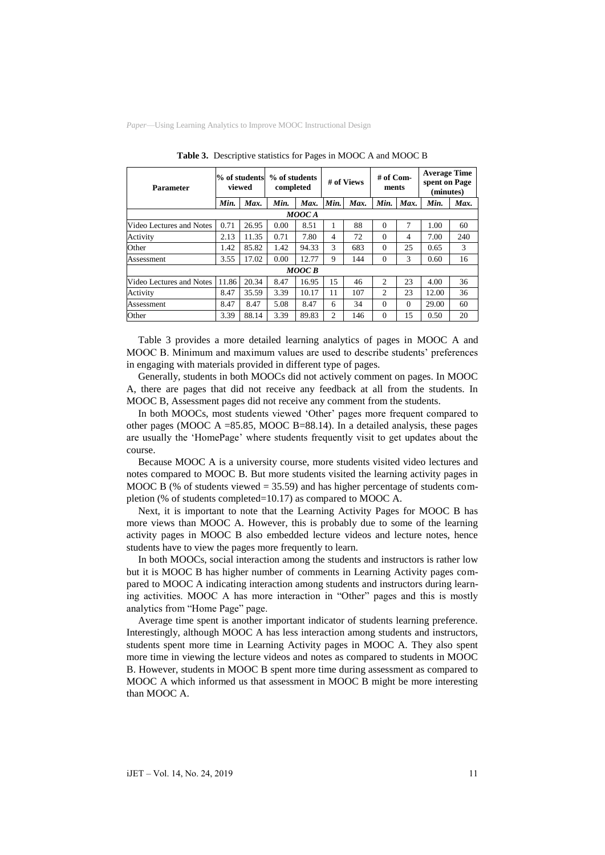| <b>Parameter</b>         | % of students<br>viewed |       | % of students<br>completed |       | # of Views |      | $#$ of Com-<br>ments |          | <b>Average Time</b><br>spent on Page<br>(minutes) |      |
|--------------------------|-------------------------|-------|----------------------------|-------|------------|------|----------------------|----------|---------------------------------------------------|------|
|                          | Min.                    | Max.  | Min.                       | Max.  | Min.       | Max. | Min.                 | Max.     | Min.                                              | Max. |
| MOOC A                   |                         |       |                            |       |            |      |                      |          |                                                   |      |
| Video Lectures and Notes | 0.71                    | 26.95 | 0.00                       | 8.51  |            | 88   | $\Omega$             | 7        | 1.00                                              | 60   |
| Activity                 | 2.13                    | 11.35 | 0.71                       | 7.80  | 4          | 72   | $\Omega$             | 4        | 7.00                                              | 240  |
| Other                    | 1.42                    | 85.82 | 1.42                       | 94.33 | 3          | 683  | $\Omega$             | 25       | 0.65                                              | 3    |
| Assessment               | 3.55                    | 17.02 | 0.00                       | 12.77 | 9          | 144  | $\Omega$             | 3        | 0.60                                              | 16   |
| MOOCB                    |                         |       |                            |       |            |      |                      |          |                                                   |      |
| Video Lectures and Notes | 11.86                   | 20.34 | 8.47                       | 16.95 | 15         | 46   | $\overline{c}$       | 23       | 4.00                                              | 36   |
| Activity                 | 8.47                    | 35.59 | 3.39                       | 10.17 | 11         | 107  | $\overline{c}$       | 23       | 12.00                                             | 36   |
| Assessment               | 8.47                    | 8.47  | 5.08                       | 8.47  | 6          | 34   | $\Omega$             | $\Omega$ | 29.00                                             | 60   |
| Other                    | 3.39                    | 88.14 | 3.39                       | 89.83 | 2          | 146  | $\Omega$             | 15       | 0.50                                              | 20   |

**Table 3.** Descriptive statistics for Pages in MOOC A and MOOC B

Table 3 provides a more detailed learning analytics of pages in MOOC A and MOOC B. Minimum and maximum values are used to describe students' preferences in engaging with materials provided in different type of pages.

Generally, students in both MOOCs did not actively comment on pages. In MOOC A, there are pages that did not receive any feedback at all from the students. In MOOC B, Assessment pages did not receive any comment from the students.

In both MOOCs, most students viewed 'Other' pages more frequent compared to other pages (MOOC A =85.85, MOOC B=88.14). In a detailed analysis, these pages are usually the 'HomePage' where students frequently visit to get updates about the course.

Because MOOC A is a university course, more students visited video lectures and notes compared to MOOC B. But more students visited the learning activity pages in MOOC B (% of students viewed  $= 35.59$ ) and has higher percentage of students completion (% of students completed=10.17) as compared to MOOC A.

Next, it is important to note that the Learning Activity Pages for MOOC B has more views than MOOC A. However, this is probably due to some of the learning activity pages in MOOC B also embedded lecture videos and lecture notes, hence students have to view the pages more frequently to learn.

In both MOOCs, social interaction among the students and instructors is rather low but it is MOOC B has higher number of comments in Learning Activity pages compared to MOOC A indicating interaction among students and instructors during learning activities. MOOC A has more interaction in "Other" pages and this is mostly analytics from "Home Page" page.

Average time spent is another important indicator of students learning preference. Interestingly, although MOOC A has less interaction among students and instructors, students spent more time in Learning Activity pages in MOOC A. They also spent more time in viewing the lecture videos and notes as compared to students in MOOC B. However, students in MOOC B spent more time during assessment as compared to MOOC A which informed us that assessment in MOOC B might be more interesting than MOOC A.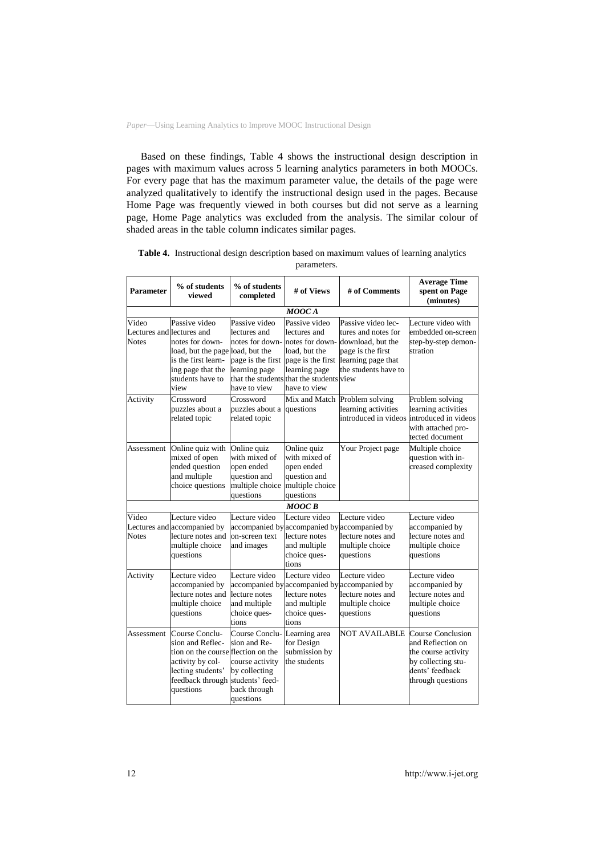Based on these findings, Table 4 shows the instructional design description in pages with maximum values across 5 learning analytics parameters in both MOOCs. For every page that has the maximum parameter value, the details of the page were analyzed qualitatively to identify the instructional design used in the pages. Because Home Page was frequently viewed in both courses but did not serve as a learning page, Home Page analytics was excluded from the analysis. The similar colour of shaded areas in the table column indicates similar pages.

**Table 4.** Instructional design description based on maximum values of learning analytics parameters.

| <b>Parameter</b>                                   | % of students<br>viewed                                                                                                                                            | % of students<br>completed                                                                             | # of Views                                                                                                                                                          | # of Comments                                                                                                                     | <b>Average Time</b><br>spent on Page<br>(minutes)                                                                                  |  |  |  |  |
|----------------------------------------------------|--------------------------------------------------------------------------------------------------------------------------------------------------------------------|--------------------------------------------------------------------------------------------------------|---------------------------------------------------------------------------------------------------------------------------------------------------------------------|-----------------------------------------------------------------------------------------------------------------------------------|------------------------------------------------------------------------------------------------------------------------------------|--|--|--|--|
| MOOCA                                              |                                                                                                                                                                    |                                                                                                        |                                                                                                                                                                     |                                                                                                                                   |                                                                                                                                    |  |  |  |  |
| Video<br>Lectures and lectures and<br><b>Notes</b> | Passive video<br>notes for down-<br>load, but the page load, but the<br>is the first learn-<br>ing page that the<br>students have to<br>view                       | Passive video<br>lectures and<br>notes for down-<br>page is the first<br>learning page<br>have to view | Passive video<br>lectures and<br>notes for down-<br>load, but the<br>page is the first<br>learning page<br>that the students that the students view<br>have to view | Passive video lec-<br>tures and notes for<br>download, but the<br>page is the first<br>learning page that<br>the students have to | Lecture video with<br>embedded on-screen<br>step-by-step demon-<br>stration                                                        |  |  |  |  |
| Activity                                           | Crossword<br>puzzles about a<br>related topic                                                                                                                      | Crossword<br>puzzles about a<br>related topic                                                          | questions                                                                                                                                                           | Mix and Match Problem solving<br>learning activities<br>introduced in videos                                                      | Problem solving<br>learning activities<br>introduced in videos<br>with attached pro-<br>tected document                            |  |  |  |  |
| Assessment                                         | Online quiz with<br>mixed of open<br>ended question<br>and multiple<br>choice questions                                                                            | Online quiz<br>with mixed of<br>open ended<br>question and<br>multiple choice<br>questions             | Online quiz<br>with mixed of<br>open ended<br>question and<br>multiple choice<br>questions                                                                          | Your Project page                                                                                                                 | Multiple choice<br>question with in-<br>creased complexity                                                                         |  |  |  |  |
|                                                    |                                                                                                                                                                    |                                                                                                        | $MOOC$ $B$                                                                                                                                                          |                                                                                                                                   |                                                                                                                                    |  |  |  |  |
| Video<br><b>Notes</b>                              | Lecture video<br>Lectures and accompanied by<br>lecture notes and<br>multiple choice<br>questions                                                                  | Lecture video<br>on-screen text<br>and images                                                          | Lecture video<br>lecture notes<br>and multiple<br>choice ques-<br>tions                                                                                             | Lecture video<br>accompanied by accompanied by accompanied by<br>lecture notes and<br>multiple choice<br>questions                | Lecture video<br>accompanied by<br>lecture notes and<br>multiple choice<br>questions                                               |  |  |  |  |
| Activity                                           | Lecture video<br>accompanied by<br>lecture notes and<br>multiple choice<br>questions                                                                               | Lecture video<br>lecture notes<br>and multiple<br>choice ques-<br>tions                                | Lecture video<br>lecture notes<br>and multiple<br>choice ques-<br>tions                                                                                             | Lecture video<br>accompanied by accompanied by accompanied by<br>lecture notes and<br>multiple choice<br>questions                | Lecture video<br>accompanied by<br>lecture notes and<br>multiple choice<br>questions                                               |  |  |  |  |
| Assessment                                         | Course Conclu-<br>sion and Reflec-<br>tion on the courselflection on the<br>activity by col-<br>lecting students'<br>feedback through students' feed-<br>questions | Course Conclu-<br>sion and Re-<br>course activity<br>by collecting<br>back through<br>questions        | Learning area<br>for Design<br>submission by<br>the students                                                                                                        | <b>NOT AVAILABLE</b>                                                                                                              | <b>Course Conclusion</b><br>and Reflection on<br>the course activity<br>by collecting stu-<br>dents' feedback<br>through questions |  |  |  |  |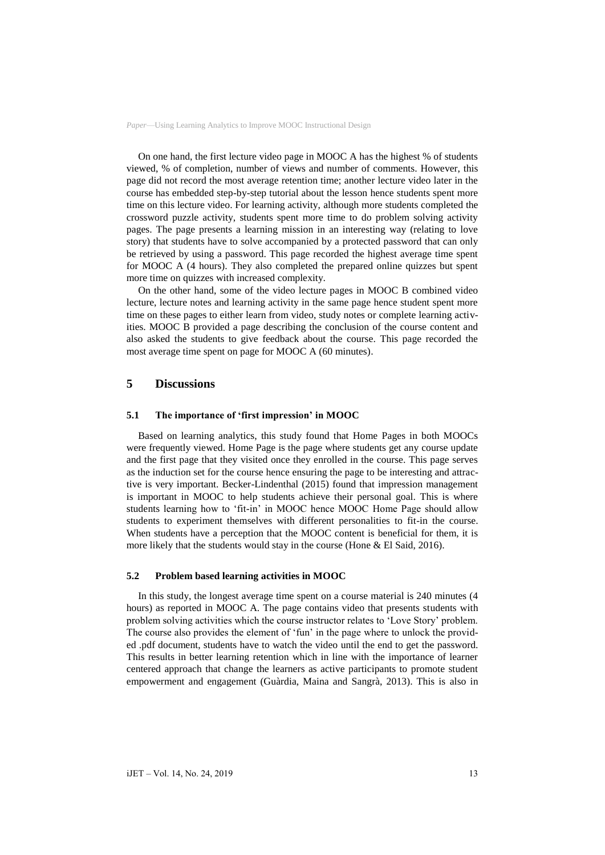On one hand, the first lecture video page in MOOC A has the highest % of students viewed, % of completion, number of views and number of comments. However, this page did not record the most average retention time; another lecture video later in the course has embedded step-by-step tutorial about the lesson hence students spent more time on this lecture video. For learning activity, although more students completed the crossword puzzle activity, students spent more time to do problem solving activity pages. The page presents a learning mission in an interesting way (relating to love story) that students have to solve accompanied by a protected password that can only be retrieved by using a password. This page recorded the highest average time spent for MOOC A (4 hours). They also completed the prepared online quizzes but spent more time on quizzes with increased complexity.

On the other hand, some of the video lecture pages in MOOC B combined video lecture, lecture notes and learning activity in the same page hence student spent more time on these pages to either learn from video, study notes or complete learning activities. MOOC B provided a page describing the conclusion of the course content and also asked the students to give feedback about the course. This page recorded the most average time spent on page for MOOC A (60 minutes).

# **5 Discussions**

### **5.1 The importance of 'first impression' in MOOC**

Based on learning analytics, this study found that Home Pages in both MOOCs were frequently viewed. Home Page is the page where students get any course update and the first page that they visited once they enrolled in the course. This page serves as the induction set for the course hence ensuring the page to be interesting and attractive is very important. Becker-Lindenthal (2015) found that impression management is important in MOOC to help students achieve their personal goal. This is where students learning how to 'fit-in' in MOOC hence MOOC Home Page should allow students to experiment themselves with different personalities to fit-in the course. When students have a perception that the MOOC content is beneficial for them, it is more likely that the students would stay in the course (Hone & El Said, 2016).

### **5.2 Problem based learning activities in MOOC**

In this study, the longest average time spent on a course material is 240 minutes (4 hours) as reported in MOOC A. The page contains video that presents students with problem solving activities which the course instructor relates to ‗Love Story' problem. The course also provides the element of 'fun' in the page where to unlock the provided .pdf document, students have to watch the video until the end to get the password. This results in better learning retention which in line with the importance of learner centered approach that change the learners as active participants to promote student empowerment and engagement (Guàrdia, Maina and Sangrà, 2013). This is also in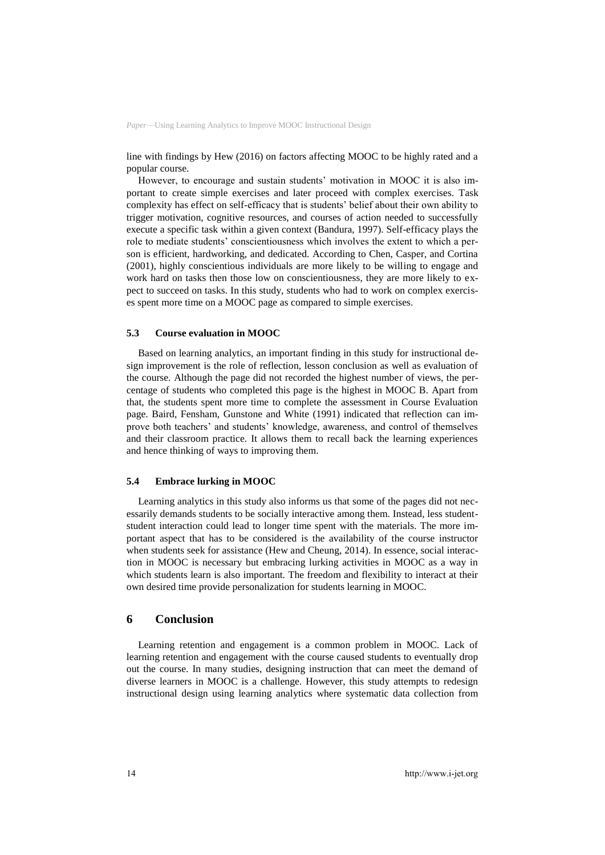line with findings by Hew (2016) on factors affecting MOOC to be highly rated and a popular course.

However, to encourage and sustain students' motivation in MOOC it is also important to create simple exercises and later proceed with complex exercises. Task complexity has effect on self-efficacy that is students' belief about their own ability to trigger motivation, cognitive resources, and courses of action needed to successfully execute a specific task within a given context (Bandura, 1997). Self-efficacy plays the role to mediate students' conscientiousness which involves the extent to which a person is efficient, hardworking, and dedicated. According to Chen, Casper, and Cortina (2001), highly conscientious individuals are more likely to be willing to engage and work hard on tasks then those low on conscientiousness, they are more likely to expect to succeed on tasks. In this study, students who had to work on complex exercises spent more time on a MOOC page as compared to simple exercises.

#### **5.3 Course evaluation in MOOC**

Based on learning analytics, an important finding in this study for instructional design improvement is the role of reflection, lesson conclusion as well as evaluation of the course. Although the page did not recorded the highest number of views, the percentage of students who completed this page is the highest in MOOC B. Apart from that, the students spent more time to complete the assessment in Course Evaluation page. Baird, Fensham, Gunstone and White (1991) indicated that reflection can improve both teachers' and students' knowledge, awareness, and control of themselves and their classroom practice. It allows them to recall back the learning experiences and hence thinking of ways to improving them.

#### **5.4 Embrace lurking in MOOC**

Learning analytics in this study also informs us that some of the pages did not necessarily demands students to be socially interactive among them. Instead, less studentstudent interaction could lead to longer time spent with the materials. The more important aspect that has to be considered is the availability of the course instructor when students seek for assistance (Hew and Cheung, 2014). In essence, social interaction in MOOC is necessary but embracing lurking activities in MOOC as a way in which students learn is also important. The freedom and flexibility to interact at their own desired time provide personalization for students learning in MOOC.

### **6 Conclusion**

Learning retention and engagement is a common problem in MOOC. Lack of learning retention and engagement with the course caused students to eventually drop out the course. In many studies, designing instruction that can meet the demand of diverse learners in MOOC is a challenge. However, this study attempts to redesign instructional design using learning analytics where systematic data collection from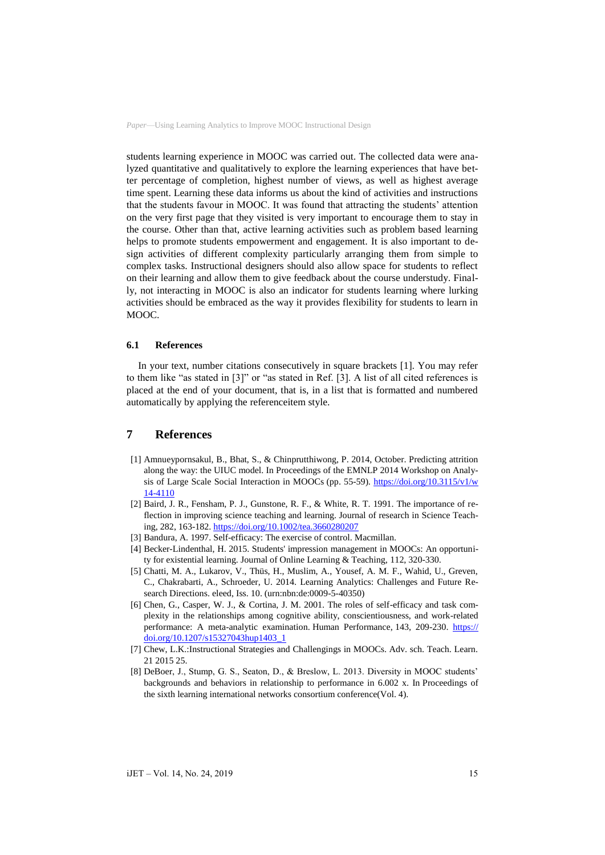students learning experience in MOOC was carried out. The collected data were analyzed quantitative and qualitatively to explore the learning experiences that have better percentage of completion, highest number of views, as well as highest average time spent. Learning these data informs us about the kind of activities and instructions that the students favour in MOOC. It was found that attracting the students' attention on the very first page that they visited is very important to encourage them to stay in the course. Other than that, active learning activities such as problem based learning helps to promote students empowerment and engagement. It is also important to design activities of different complexity particularly arranging them from simple to complex tasks. Instructional designers should also allow space for students to reflect on their learning and allow them to give feedback about the course understudy. Finally, not interacting in MOOC is also an indicator for students learning where lurking activities should be embraced as the way it provides flexibility for students to learn in MOOC.

#### **6.1 References**

In your text, number citations consecutively in square brackets [1]. You may refer to them like "as stated in  $[3]$ " or "as stated in Ref. [3]. A list of all cited references is placed at the end of your document, that is, in a list that is formatted and numbered automatically by applying the referenceitem style.

# **7 References**

- [1] Amnueypornsakul, B., Bhat, S., & Chinprutthiwong, P. 2014, October. Predicting attrition along the way: the UIUC model. In Proceedings of the EMNLP 2014 Workshop on Analysis of Large Scale Social Interaction in MOOCs (pp. 55-59). [https://doi.org/10.3115/v1/w](https://doi.org/10.3115/v1/w14-4110)  [14-4110](https://doi.org/10.3115/v1/w14-4110)
- [2] Baird, J. R., Fensham, P. J., Gunstone, R. F., & White, R. T. 1991. The importance of reflection in improving science teaching and learning. Journal of research in Science Teaching, 282, 163-182.<https://doi.org/10.1002/tea.3660280207>
- [3] Bandura, A. 1997. Self-efficacy: The exercise of control. Macmillan.
- [4] Becker-Lindenthal, H. 2015. Students' impression management in MOOCs: An opportunity for existential learning. Journal of Online Learning & Teaching, 112, 320-330.
- [5] Chatti, M. A., Lukarov, V., Thüs, H., Muslim, A., Yousef, A. M. F., Wahid, U., Greven, C., Chakrabarti, A., Schroeder, U. 2014. Learning Analytics: Challenges and Future Research Directions. eleed, Iss. 10. (urn:nbn:de:0009-5-40350)
- [6] Chen, G., Casper, W. J., & Cortina, J. M. 2001. The roles of self-efficacy and task complexity in the relationships among cognitive ability, conscientiousness, and work-related performance: A meta-analytic examination. Human Performance, 143, 209-230. https:// [doi.org/10.1207/s15327043hup1403\\_1](https://doi.org/10.1207/s15327043hup1403_1)
- [7] Chew, L.K.:Instructional Strategies and Challengings in MOOCs. Adv. sch. Teach. Learn. 21 2015 25.
- [8] DeBoer, J., Stump, G. S., Seaton, D., & Breslow, L. 2013. Diversity in MOOC students' backgrounds and behaviors in relationship to performance in 6.002 x. In Proceedings of the sixth learning international networks consortium conference(Vol. 4).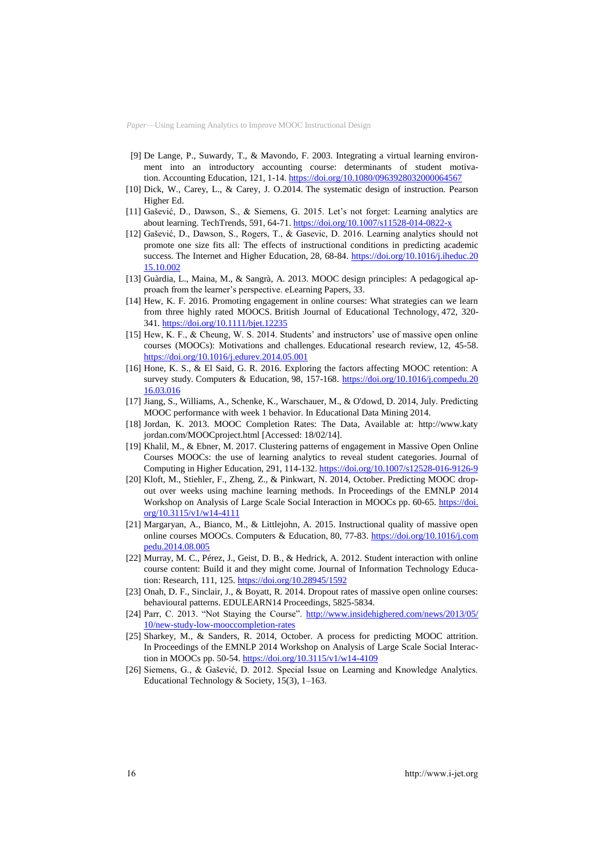- [9] De Lange, P., Suwardy, T., & Mavondo, F. 2003. Integrating a virtual learning environment into an introductory accounting course: determinants of student motiva-tion. Accounting Education, 121, 1-14[. https://doi.org/10.1080/0963928032000064567](https://doi.org/10.1080/0963928032000064567)
- [10] Dick, W., Carey, L., & Carey, J. O.2014. The systematic design of instruction. Pearson Higher Ed.
- [11] Gašević, D., Dawson, S., & Siemens, G. 2015. Let's not forget: Learning analytics are about learning. TechTrends, 591, 64-71. <https://doi.org/10.1007/s11528-014-0822-x>
- [12] Gašević, D., Dawson, S., Rogers, T., & Gasevic, D. 2016. Learning analytics should not promote one size fits all: The effects of instructional conditions in predicting academic success. The Internet and Higher Education, 28, 68-84. https://doi.org/10.1016/j.iheduc.20 [15.10.002](https://doi.org/10.1016/j.iheduc.2015.10.002)
- [13] Guàrdia, L., Maina, M., & Sangrà, A. 2013. MOOC design principles: A pedagogical approach from the learner's perspective. eLearning Papers, 33.
- [14] Hew, K. F. 2016. Promoting engagement in online courses: What strategies can we learn from three highly rated MOOCS. British Journal of Educational Technology, 472, 320- 341[. https://doi.org/10.1111/bjet.12235](https://doi.org/10.1111/bjet.12235)
- [15] Hew, K. F., & Cheung, W. S. 2014. Students' and instructors' use of massive open online courses (MOOCs): Motivations and challenges. Educational research review, 12, 45-58. <https://doi.org/10.1016/j.edurev.2014.05.001>
- [16] Hone, K. S., & El Said, G. R. 2016. Exploring the factors affecting MOOC retention: A survey study. Computers & Education, 98, 157-168. https://doi.org/10.1016/j.compedu.20 [16.03.016](https://doi.org/10.1016/j.compedu.2016.03.016)
- [17] Jiang, S., Williams, A., Schenke, K., Warschauer, M., & O'dowd, D. 2014, July. Predicting MOOC performance with week 1 behavior. In Educational Data Mining 2014.
- [18] Jordan, K. 2013. MOOC Completion Rates: The Data, Available at: http://www.katy jordan.com/MOOCproject.html [Accessed: 18/02/14].
- [19] Khalil, M., & Ebner, M. 2017. Clustering patterns of engagement in Massive Open Online Courses MOOCs: the use of learning analytics to reveal student categories. Journal of Computing in Higher Education, 291, 114-132[. https://doi.org/10.1007/s12528-016-9126-9](https://doi.org/10.1007/s12528-016-9126-9)
- [20] Kloft, M., Stiehler, F., Zheng, Z., & Pinkwart, N. 2014, October. Predicting MOOC dropout over weeks using machine learning methods. In Proceedings of the EMNLP 2014 Workshop on Analysis of Large Scale Social Interaction in MOOCs pp. 60-65. https://doi. [org/10.3115/v1/w14-4111](https://doi.org/10.3115/v1/w14-4111)
- [21] Margaryan, A., Bianco, M., & Littlejohn, A. 2015. Instructional quality of massive open online courses MOOCs. Computers & Education, 80, 77-83. [https://doi.org/10.1016/j.com](https://doi.org/10.1016/j.compedu.2014.08.005)  [pedu.2014.08.005](https://doi.org/10.1016/j.compedu.2014.08.005)
- [22] Murray, M. C., Pérez, J., Geist, D. B., & Hedrick, A. 2012. Student interaction with online course content: Build it and they might come. Journal of Information Technology Education: Research, 111, 125.<https://doi.org/10.28945/1592>
- [23] Onah, D. F., Sinclair, J., & Boyatt, R. 2014. Dropout rates of massive open online courses: behavioural patterns. EDULEARN14 Proceedings, 5825-5834.
- [24] Parr, C. 2013. "Not Staying the Course". http://www.insidehighered.com/news/2013/05/ [10/new-study-low-mooccompletion-rates](http://www.insidehighered.com/news/2013/05/10/new-study-low-mooccompletion-rates)
- [25] Sharkey, M., & Sanders, R. 2014, October. A process for predicting MOOC attrition. In Proceedings of the EMNLP 2014 Workshop on Analysis of Large Scale Social Interaction in MOOCs pp. 50-54.<https://doi.org/10.3115/v1/w14-4109>
- [26] Siemens, G., & Gašević, D. 2012. Special Issue on Learning and Knowledge Analytics. Educational Technology & Society, 15(3), 1–163.